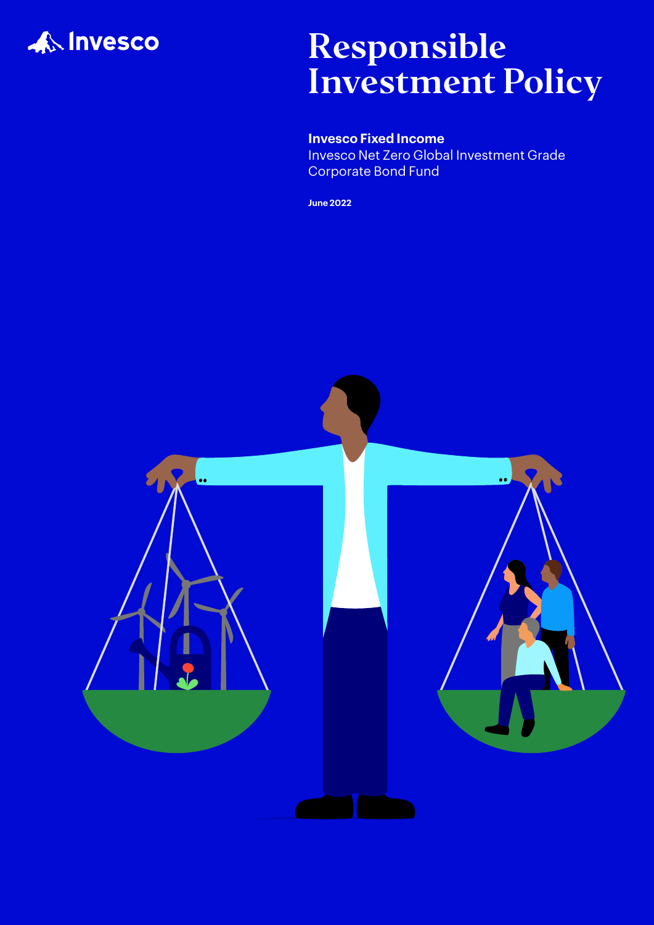

## Responsible Investment Policy

### **Invesco Fixed Income**

Invesco Net Zero Global Investment Grade Corporate Bond Fund

**June 2022**

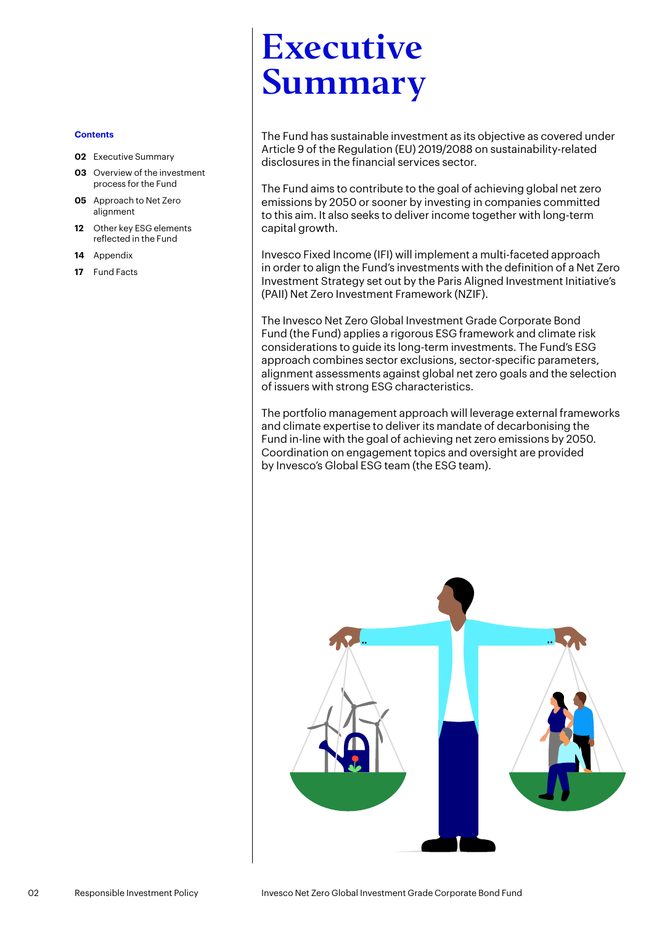#### **Contents**

- **02** Executive Summary
- **03** [Overview of the investment](#page-2-0)  [process for the Fund](#page-2-0)
- **05** [Approach to Net Zero](#page-4-0)  [alignment](#page-4-0)
- **12** [Other key ESG elements](#page-11-0)  [reflected in the Fund](#page-11-0)
- **14** [Appendix](#page-13-0)
- **17** [Fund Facts](#page-16-0)

# Executive Summary

The Fund has sustainable investment as its objective as covered under Article 9 of the Regulation (EU) 2019/2088 on sustainability-related disclosures in the financial services sector.

The Fund aims to contribute to the goal of achieving global net zero emissions by 2050 or sooner by investing in companies committed to this aim. It also seeks to deliver income together with long-term capital growth.

Invesco Fixed Income (IFI) will implement a multi-faceted approach in order to align the Fund's investments with the definition of a Net Zero Investment Strategy set out by the Paris Aligned Investment Initiative's (PAII) Net Zero Investment Framework (NZIF).

The Invesco Net Zero Global Investment Grade Corporate Bond Fund (the Fund) applies a rigorous ESG framework and climate risk considerations to guide its long-term investments. The Fund's ESG approach combines sector exclusions, sector-specific parameters, alignment assessments against global net zero goals and the selection of issuers with strong ESG characteristics.

The portfolio management approach will leverage external frameworks and climate expertise to deliver its mandate of decarbonising the Fund in-line with the goal of achieving net zero emissions by 2050. Coordination on engagement topics and oversight are provided by Invesco's Global ESG team (the ESG team).

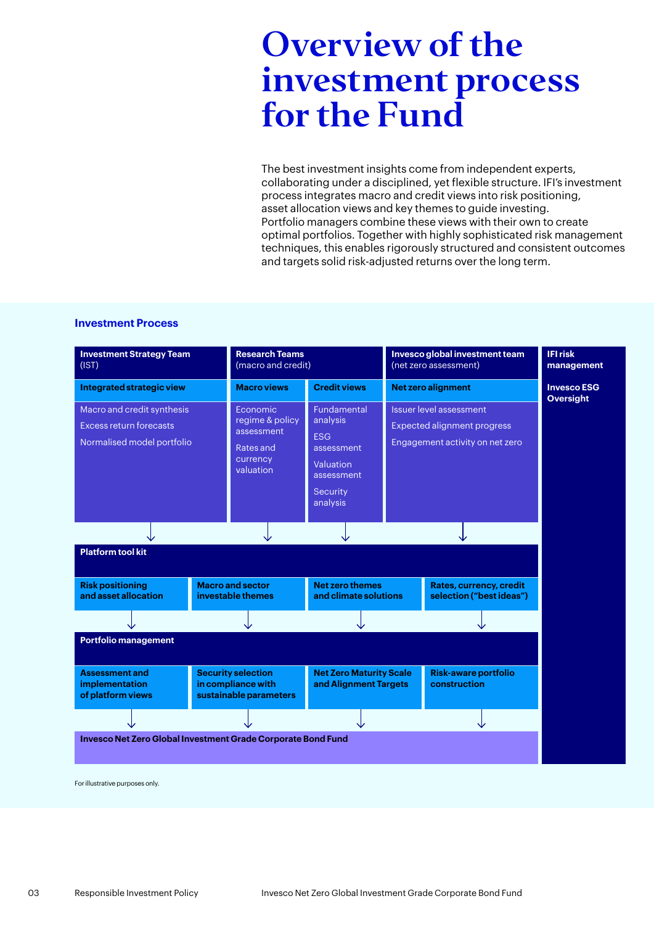## <span id="page-2-0"></span>Overview of the investment process for the Fund

The best investment insights come from independent experts, collaborating under a disciplined, yet flexible structure. IFI's investment process integrates macro and credit views into risk positioning, asset allocation views and key themes to guide investing. Portfolio managers combine these views with their own to create optimal portfolios. Together with highly sophisticated risk management techniques, this enables rigorously structured and consistent outcomes and targets solid risk-adjusted returns over the long term.

#### **Investment Process**



For illustrative purposes only.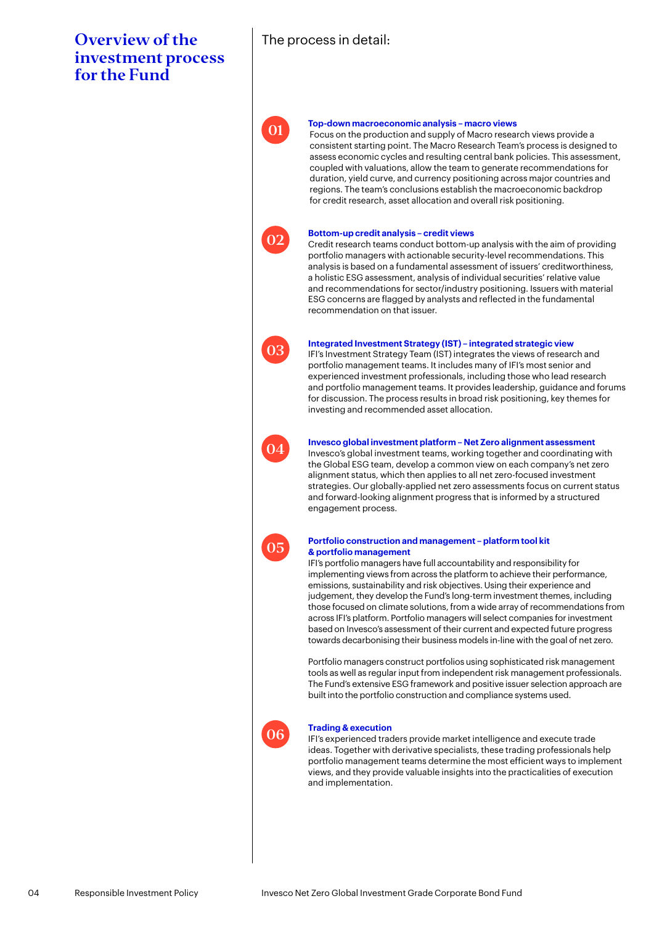### Overview of the investment process for the Fund

### The process in detail:



#### **Top-down macroeconomic analysis – macro views**

Focus on the production and supply of Macro research views provide a consistent starting point. The Macro Research Team's process is designed to assess economic cycles and resulting central bank policies. This assessment, coupled with valuations, allow the team to generate recommendations for duration, yield curve, and currency positioning across major countries and regions. The team's conclusions establish the macroeconomic backdrop for credit research, asset allocation and overall risk positioning.



#### **Bottom-up credit analysis – credit views**

Credit research teams conduct bottom-up analysis with the aim of providing portfolio managers with actionable security-level recommendations. This analysis is based on a fundamental assessment of issuers' creditworthiness, a holistic ESG assessment, analysis of individual securities' relative value and recommendations for sector/industry positioning. Issuers with material ESG concerns are flagged by analysts and reflected in the fundamental recommendation on that issuer.



#### **Integrated Investment Strategy (IST) – integrated strategic view**

IFI's Investment Strategy Team (IST) integrates the views of research and portfolio management teams. It includes many of IFI's most senior and experienced investment professionals, including those who lead research and portfolio management teams. It provides leadership, guidance and forums for discussion. The process results in broad risk positioning, key themes for investing and recommended asset allocation.



#### **Invesco global investment platform – Net Zero alignment assessment**

Invesco's global investment teams, working together and coordinating with the Global ESG team, develop a common view on each company's net zero alignment status, which then applies to all net zero-focused investment strategies. Our globally-applied net zero assessments focus on current status and forward-looking alignment progress that is informed by a structured engagement process.



#### **Portfolio construction and management – platform tool kit & portfolio management**

IFI's portfolio managers have full accountability and responsibility for implementing views from across the platform to achieve their performance, emissions, sustainability and risk objectives. Using their experience and judgement, they develop the Fund's long-term investment themes, including those focused on climate solutions, from a wide array of recommendations from across IFI's platform. Portfolio managers will select companies for investment based on Invesco's assessment of their current and expected future progress towards decarbonising their business models in-line with the goal of net zero.

Portfolio managers construct portfolios using sophisticated risk management tools as well as regular input from independent risk management professionals. The Fund's extensive ESG framework and positive issuer selection approach are built into the portfolio construction and compliance systems used.



#### **Trading & execution**

IFI's experienced traders provide market intelligence and execute trade ideas. Together with derivative specialists, these trading professionals help portfolio management teams determine the most efficient ways to implement views, and they provide valuable insights into the practicalities of execution and implementation.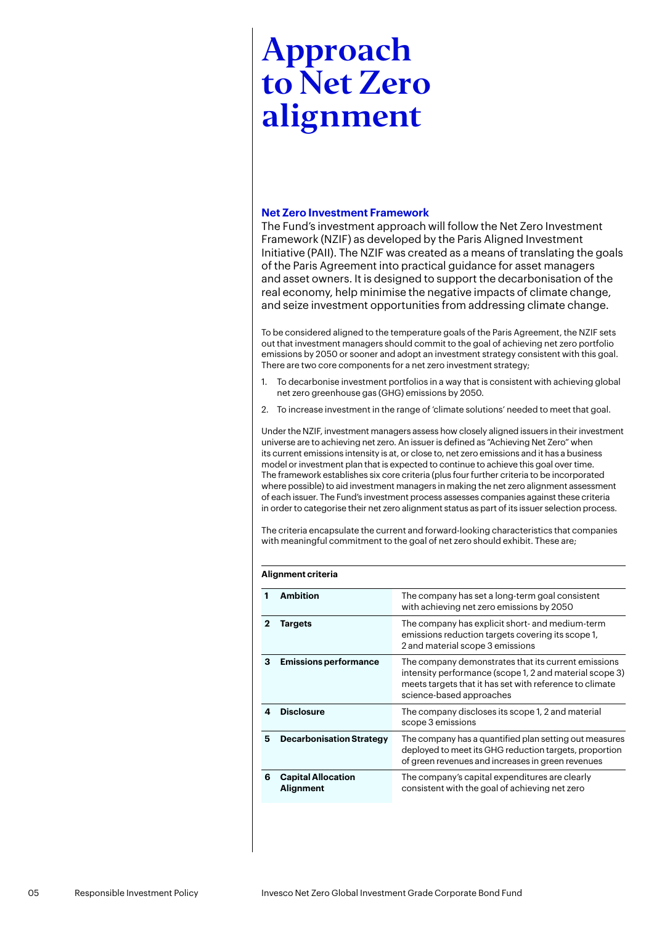#### <span id="page-4-0"></span>**Net Zero Investment Framework**

The Fund's investment approach will follow the Net Zero Investment Framework (NZIF) as developed by the Paris Aligned Investment Initiative (PAII). The NZIF was created as a means of translating the goals of the Paris Agreement into practical guidance for asset managers and asset owners. It is designed to support the decarbonisation of the real economy, help minimise the negative impacts of climate change, and seize investment opportunities from addressing climate change.

To be considered aligned to the temperature goals of the Paris Agreement, the NZIF sets out that investment managers should commit to the goal of achieving net zero portfolio emissions by 2050 or sooner and adopt an investment strategy consistent with this goal. There are two core components for a net zero investment strategy;

- 1. To decarbonise investment portfolios in a way that is consistent with achieving global net zero greenhouse gas (GHG) emissions by 2050.
- 2. To increase investment in the range of 'climate solutions' needed to meet that goal.

Under the NZIF, investment managers assess how closely aligned issuers in their investment universe are to achieving net zero. An issuer is defined as "Achieving Net Zero" when its current emissions intensity is at, or close to, net zero emissions and it has a business model or investment plan that is expected to continue to achieve this goal over time. The framework establishes six core criteria (plus four further criteria to be incorporated where possible) to aid investment managers in making the net zero alignment assessment of each issuer. The Fund's investment process assesses companies against these criteria in order to categorise their net zero alignment status as part of its issuer selection process.

The criteria encapsulate the current and forward-looking characteristics that companies with meaningful commitment to the goal of net zero should exhibit. These are;

#### **Alignment criteria**

|   | <b>Ambition</b>                        | The company has set a long-term goal consistent<br>with achieving net zero emissions by 2050                                                                                                          |
|---|----------------------------------------|-------------------------------------------------------------------------------------------------------------------------------------------------------------------------------------------------------|
| 2 | Targets                                | The company has explicit short- and medium-term<br>emissions reduction targets covering its scope 1,<br>2 and material scope 3 emissions                                                              |
| з | <b>Emissions performance</b>           | The company demonstrates that its current emissions<br>intensity performance (scope 1, 2 and material scope 3)<br>meets targets that it has set with reference to climate<br>science-based approaches |
|   | <b>Disclosure</b>                      | The company discloses its scope 1, 2 and material<br>scope 3 emissions                                                                                                                                |
| 5 | <b>Decarbonisation Strategy</b>        | The company has a quantified plan setting out measures<br>deployed to meet its GHG reduction targets, proportion<br>of green revenues and increases in green revenues                                 |
| 6 | <b>Capital Allocation</b><br>Alignment | The company's capital expenditures are clearly<br>consistent with the goal of achieving net zero                                                                                                      |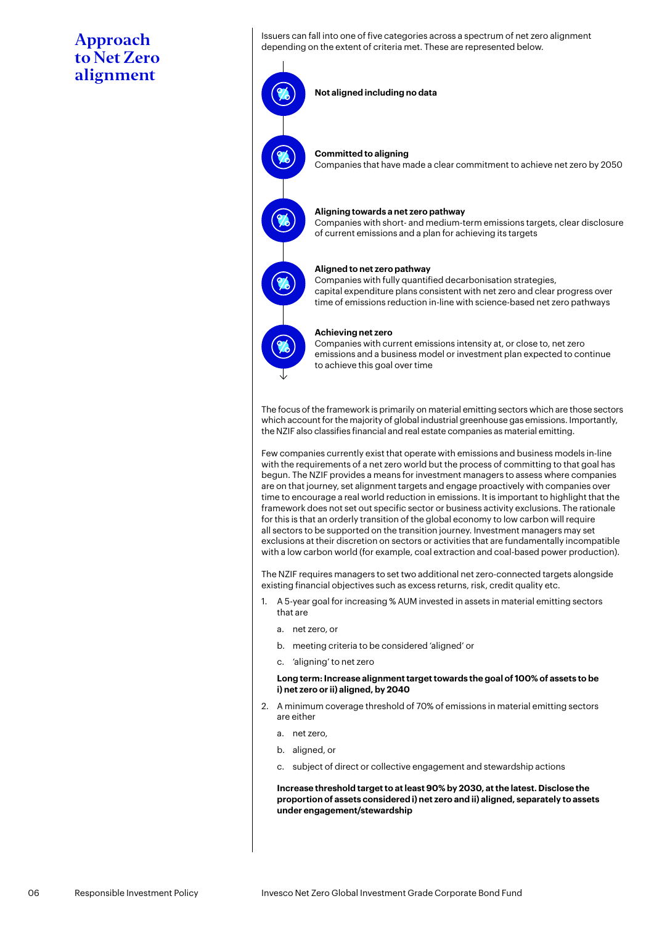Issuers can fall into one of five categories across a spectrum of net zero alignment depending on the extent of criteria met. These are represented below.

**Not aligned including no data**

#### **Committed to aligning**

Companies that have made a clear commitment to achieve net zero by 2050

#### **Aligning towards a net zero pathway**

Companies with short- and medium-term emissions targets, clear disclosure of current emissions and a plan for achieving its targets

#### **Aligned to net zero pathway**

Companies with fully quantified decarbonisation strategies, capital expenditure plans consistent with net zero and clear progress over time of emissions reduction in-line with science-based net zero pathways



#### **Achieving net zero**

Companies with current emissions intensity at, or close to, net zero emissions and a business model or investment plan expected to continue to achieve this goal over time

The focus of the framework is primarily on material emitting sectors which are those sectors which account for the majority of global industrial greenhouse gas emissions. Importantly, the NZIF also classifies financial and real estate companies as material emitting.

Few companies currently exist that operate with emissions and business models in-line with the requirements of a net zero world but the process of committing to that goal has begun. The NZIF provides a means for investment managers to assess where companies are on that journey, set alignment targets and engage proactively with companies over time to encourage a real world reduction in emissions. It is important to highlight that the framework does not set out specific sector or business activity exclusions. The rationale for this is that an orderly transition of the global economy to low carbon will require all sectors to be supported on the transition journey. Investment managers may set exclusions at their discretion on sectors or activities that are fundamentally incompatible with a low carbon world (for example, coal extraction and coal-based power production).

The NZIF requires managers to set two additional net zero-connected targets alongside existing financial objectives such as excess returns, risk, credit quality etc.

- 1. A 5-year goal for increasing % AUM invested in assets in material emitting sectors that are
	- a. net zero, or
	- b. meeting criteria to be considered 'aligned' or
	- c. 'aligning' to net zero

#### **Long term: Increase alignment target towards the goal of 100% of assets to be i) net zero or ii) aligned, by 2040**

- 2. A minimum coverage threshold of 70% of emissions in material emitting sectors are either
	- a. net zero,
	- b. aligned, or
	- c. subject of direct or collective engagement and stewardship actions

 **Increase threshold target to at least 90% by 2030, at the latest. Disclose the proportion of assets considered i) net zero and ii) aligned, separately to assets under engagement/stewardship**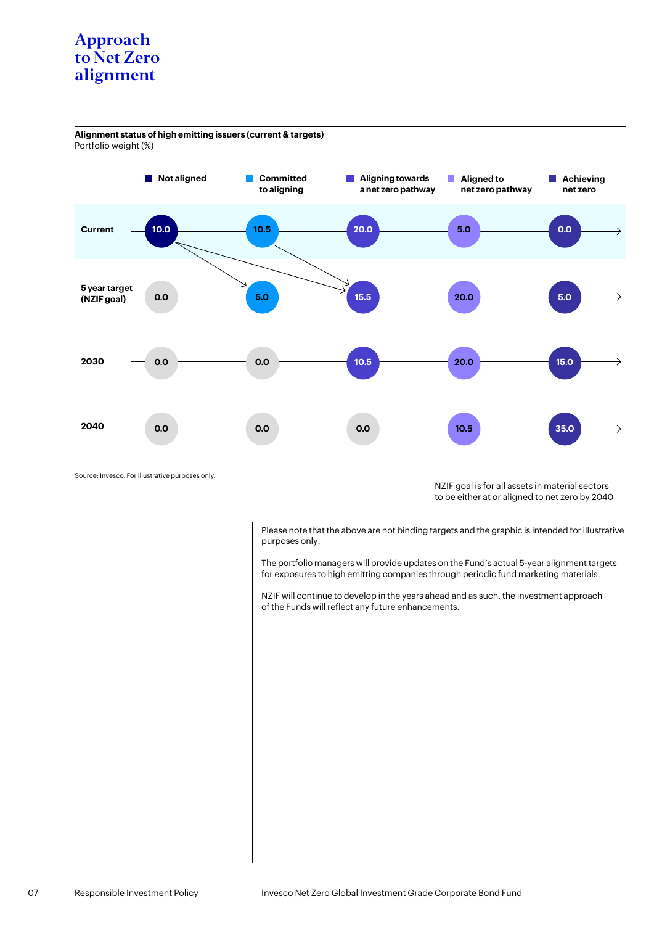**Alignment status of high emitting issuers (current & targets)** Portfolio weight (%)



NZIF goal is for all assets in material sectors to be either at or aligned to net zero by 2040

Please note that the above are not binding targets and the graphic is intended for illustrative purposes only.

The portfolio managers will provide updates on the Fund's actual 5-year alignment targets for exposures to high emitting companies through periodic fund marketing materials.

NZIF will continue to develop in the years ahead and as such, the investment approach of the Funds will reflect any future enhancements.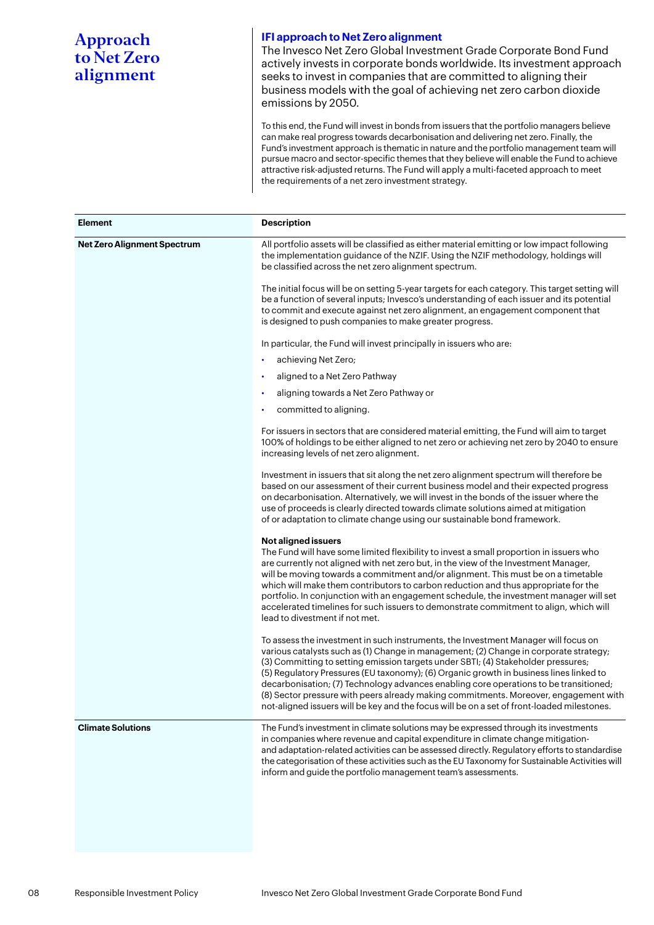#### **IFI approach to Net Zero alignment**

The Invesco Net Zero Global Investment Grade Corporate Bond Fund actively invests in corporate bonds worldwide. Its investment approach seeks to invest in companies that are committed to aligning their business models with the goal of achieving net zero carbon dioxide emissions by 2050.

To this end, the Fund will invest in bonds from issuers that the portfolio managers believe can make real progress towards decarbonisation and delivering net zero. Finally, the Fund's investment approach is thematic in nature and the portfolio management team will pursue macro and sector-specific themes that they believe will enable the Fund to achieve attractive risk-adjusted returns. The Fund will apply a multi-faceted approach to meet the requirements of a net zero investment strategy.

| <b>Element</b>                     | <b>Description</b>                                                                                                                                                                                                                                                                                                                                                                                                                                                                                                                                                                                                                        |
|------------------------------------|-------------------------------------------------------------------------------------------------------------------------------------------------------------------------------------------------------------------------------------------------------------------------------------------------------------------------------------------------------------------------------------------------------------------------------------------------------------------------------------------------------------------------------------------------------------------------------------------------------------------------------------------|
| <b>Net Zero Alignment Spectrum</b> | All portfolio assets will be classified as either material emitting or low impact following<br>the implementation guidance of the NZIF. Using the NZIF methodology, holdings will<br>be classified across the net zero alignment spectrum.                                                                                                                                                                                                                                                                                                                                                                                                |
|                                    | The initial focus will be on setting 5-year targets for each category. This target setting will<br>be a function of several inputs; Invesco's understanding of each issuer and its potential<br>to commit and execute against net zero alignment, an engagement component that<br>is designed to push companies to make greater progress.                                                                                                                                                                                                                                                                                                 |
|                                    | In particular, the Fund will invest principally in issuers who are:                                                                                                                                                                                                                                                                                                                                                                                                                                                                                                                                                                       |
|                                    | achieving Net Zero;<br>٠                                                                                                                                                                                                                                                                                                                                                                                                                                                                                                                                                                                                                  |
|                                    | aligned to a Net Zero Pathway<br>٠                                                                                                                                                                                                                                                                                                                                                                                                                                                                                                                                                                                                        |
|                                    | aligning towards a Net Zero Pathway or<br>٠                                                                                                                                                                                                                                                                                                                                                                                                                                                                                                                                                                                               |
|                                    | committed to aligning.                                                                                                                                                                                                                                                                                                                                                                                                                                                                                                                                                                                                                    |
|                                    | For issuers in sectors that are considered material emitting, the Fund will aim to target<br>100% of holdings to be either aligned to net zero or achieving net zero by 2040 to ensure<br>increasing levels of net zero alignment.                                                                                                                                                                                                                                                                                                                                                                                                        |
|                                    | Investment in issuers that sit along the net zero alignment spectrum will therefore be<br>based on our assessment of their current business model and their expected progress<br>on decarbonisation. Alternatively, we will invest in the bonds of the issuer where the<br>use of proceeds is clearly directed towards climate solutions aimed at mitigation<br>of or adaptation to climate change using our sustainable bond framework.                                                                                                                                                                                                  |
|                                    | <b>Not aligned issuers</b><br>The Fund will have some limited flexibility to invest a small proportion in issuers who<br>are currently not aligned with net zero but, in the view of the Investment Manager,<br>will be moving towards a commitment and/or alignment. This must be on a timetable<br>which will make them contributors to carbon reduction and thus appropriate for the<br>portfolio. In conjunction with an engagement schedule, the investment manager will set<br>accelerated timelines for such issuers to demonstrate commitment to align, which will<br>lead to divestment if not met.                              |
|                                    | To assess the investment in such instruments, the Investment Manager will focus on<br>various catalysts such as (1) Change in management; (2) Change in corporate strategy;<br>(3) Committing to setting emission targets under SBTI; (4) Stakeholder pressures;<br>(5) Regulatory Pressures (EU taxonomy); (6) Organic growth in business lines linked to<br>decarbonisation; (7) Technology advances enabling core operations to be transitioned;<br>(8) Sector pressure with peers already making commitments. Moreover, engagement with<br>not-aligned issuers will be key and the focus will be on a set of front-loaded milestones. |
| <b>Climate Solutions</b>           | The Fund's investment in climate solutions may be expressed through its investments<br>in companies where revenue and capital expenditure in climate change mitigation-<br>and adaptation-related activities can be assessed directly. Regulatory efforts to standardise<br>the categorisation of these activities such as the EU Taxonomy for Sustainable Activities will<br>inform and guide the portfolio management team's assessments.                                                                                                                                                                                               |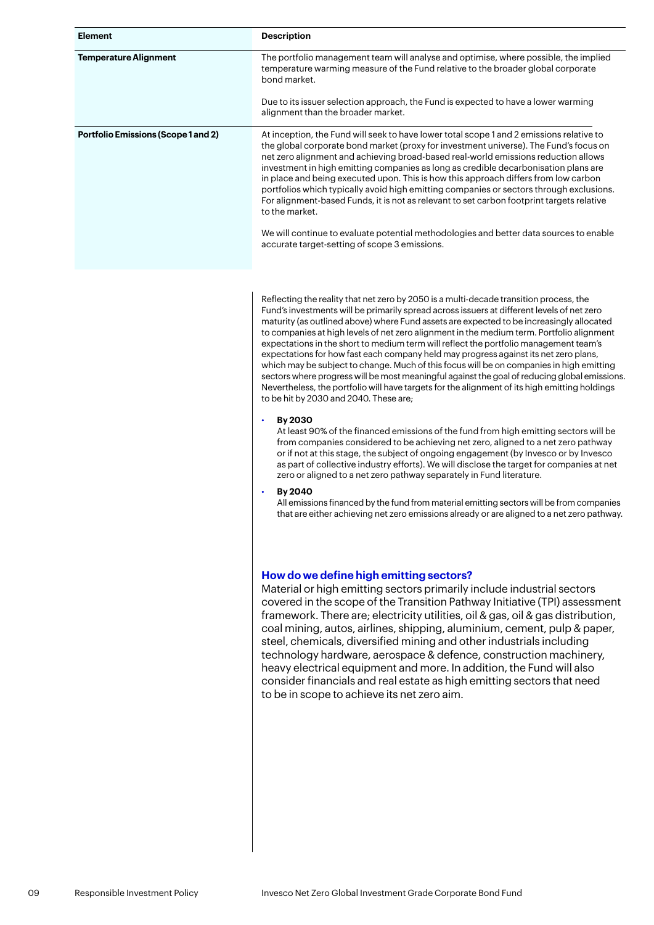| <b>Element</b>                             | <b>Description</b>                                                                                                                                                                                                                                                                                                                                                                                                                                                                                                                                                                                                                                                                                                                                                                                         |
|--------------------------------------------|------------------------------------------------------------------------------------------------------------------------------------------------------------------------------------------------------------------------------------------------------------------------------------------------------------------------------------------------------------------------------------------------------------------------------------------------------------------------------------------------------------------------------------------------------------------------------------------------------------------------------------------------------------------------------------------------------------------------------------------------------------------------------------------------------------|
| <b>Temperature Alignment</b>               | The portfolio management team will analyse and optimise, where possible, the implied<br>temperature warming measure of the Fund relative to the broader global corporate<br>bond market.                                                                                                                                                                                                                                                                                                                                                                                                                                                                                                                                                                                                                   |
|                                            | Due to its issuer selection approach, the Fund is expected to have a lower warming<br>alignment than the broader market.                                                                                                                                                                                                                                                                                                                                                                                                                                                                                                                                                                                                                                                                                   |
| <b>Portfolio Emissions (Scope 1 and 2)</b> | At inception, the Fund will seek to have lower total scope 1 and 2 emissions relative to<br>the global corporate bond market (proxy for investment universe). The Fund's focus on<br>net zero alignment and achieving broad-based real-world emissions reduction allows<br>investment in high emitting companies as long as credible decarbonisation plans are<br>in place and being executed upon. This is how this approach differs from low carbon<br>portfolios which typically avoid high emitting companies or sectors through exclusions.<br>For alignment-based Funds, it is not as relevant to set carbon footprint targets relative<br>to the market.<br>We will continue to evaluate potential methodologies and better data sources to enable<br>accurate target-setting of scope 3 emissions. |

Reflecting the reality that net zero by 2050 is a multi-decade transition process, the Fund's investments will be primarily spread across issuers at different levels of net zero maturity (as outlined above) where Fund assets are expected to be increasingly allocated to companies at high levels of net zero alignment in the medium term. Portfolio alignment expectations in the short to medium term will reflect the portfolio management team's expectations for how fast each company held may progress against its net zero plans, which may be subject to change. Much of this focus will be on companies in high emitting sectors where progress will be most meaningful against the goal of reducing global emissions. Nevertheless, the portfolio will have targets for the alignment of its high emitting holdings to be hit by 2030 and 2040. These are;

• **By 2030**

At least 90% of the financed emissions of the fund from high emitting sectors will be from companies considered to be achieving net zero, aligned to a net zero pathway or if not at this stage, the subject of ongoing engagement (by Invesco or by Invesco as part of collective industry efforts). We will disclose the target for companies at net zero or aligned to a net zero pathway separately in Fund literature.

• **By 2040**

All emissions financed by the fund from material emitting sectors will be from companies that are either achieving net zero emissions already or are aligned to a net zero pathway.

#### **How do we define high emitting sectors?**

Material or high emitting sectors primarily include industrial sectors covered in the scope of the Transition Pathway Initiative (TPI) assessment framework. There are; electricity utilities, oil & gas, oil & gas distribution, coal mining, autos, airlines, shipping, aluminium, cement, pulp & paper, steel, chemicals, diversified mining and other industrials including technology hardware, aerospace & defence, construction machinery, heavy electrical equipment and more. In addition, the Fund will also consider financials and real estate as high emitting sectors that need to be in scope to achieve its net zero aim.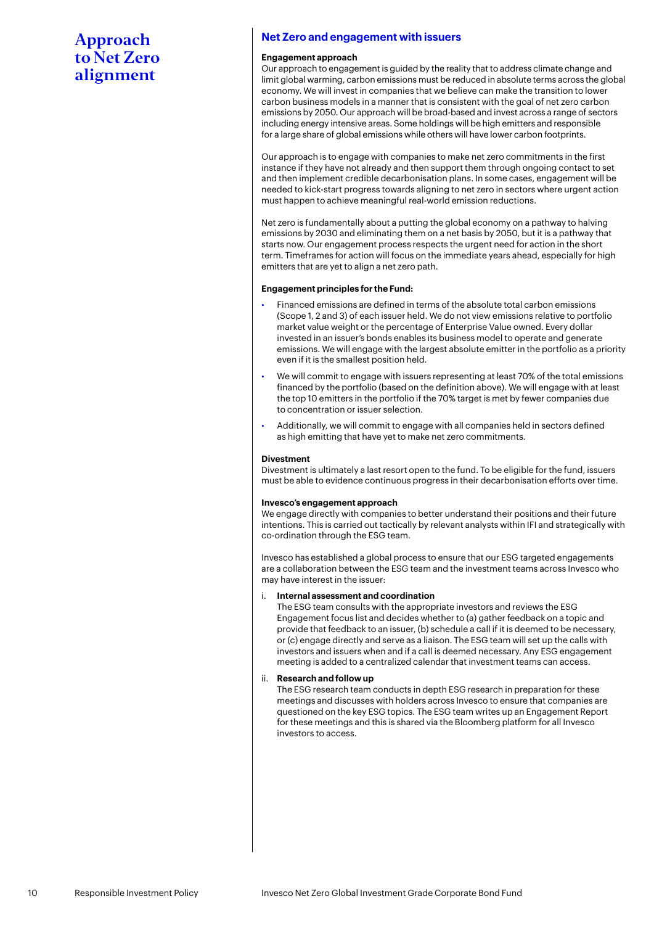#### **Net Zero and engagement with issuers**

#### **Engagement approach**

Our approach to engagement is guided by the reality that to address climate change and limit global warming, carbon emissions must be reduced in absolute terms across the global economy. We will invest in companies that we believe can make the transition to lower carbon business models in a manner that is consistent with the goal of net zero carbon emissions by 2050. Our approach will be broad-based and invest across a range of sectors including energy intensive areas. Some holdings will be high emitters and responsible for a large share of global emissions while others will have lower carbon footprints.

Our approach is to engage with companies to make net zero commitments in the first instance if they have not already and then support them through ongoing contact to set and then implement credible decarbonisation plans. In some cases, engagement will be needed to kick-start progress towards aligning to net zero in sectors where urgent action must happen to achieve meaningful real-world emission reductions.

Net zero is fundamentally about a putting the global economy on a pathway to halving emissions by 2030 and eliminating them on a net basis by 2050, but it is a pathway that starts now. Our engagement process respects the urgent need for action in the short term. Timeframes for action will focus on the immediate years ahead, especially for high emitters that are yet to align a net zero path.

#### **Engagement principles for the Fund:**

- Financed emissions are defined in terms of the absolute total carbon emissions (Scope 1, 2 and 3) of each issuer held. We do not view emissions relative to portfolio market value weight or the percentage of Enterprise Value owned. Every dollar invested in an issuer's bonds enables its business model to operate and generate emissions. We will engage with the largest absolute emitter in the portfolio as a priority even if it is the smallest position held.
- We will commit to engage with issuers representing at least 70% of the total emissions financed by the portfolio (based on the definition above). We will engage with at least the top 10 emitters in the portfolio if the 70% target is met by fewer companies due to concentration or issuer selection.
- Additionally, we will commit to engage with all companies held in sectors defined as high emitting that have yet to make net zero commitments.

#### **Divestment**

Divestment is ultimately a last resort open to the fund. To be eligible for the fund, issuers must be able to evidence continuous progress in their decarbonisation efforts over time.

#### **Invesco's engagement approach**

We engage directly with companies to better understand their positions and their future intentions. This is carried out tactically by relevant analysts within IFI and strategically with co-ordination through the ESG team.

Invesco has established a global process to ensure that our ESG targeted engagements are a collaboration between the ESG team and the investment teams across Invesco who may have interest in the issuer:

#### i. **Internal assessment and coordination**

The ESG team consults with the appropriate investors and reviews the ESG Engagement focus list and decides whether to (a) gather feedback on a topic and provide that feedback to an issuer, (b) schedule a call if it is deemed to be necessary, or (c) engage directly and serve as a liaison. The ESG team will set up the calls with investors and issuers when and if a call is deemed necessary. Any ESG engagement meeting is added to a centralized calendar that investment teams can access.

#### ii. **Research and follow up**

The ESG research team conducts in depth ESG research in preparation for these meetings and discusses with holders across Invesco to ensure that companies are questioned on the key ESG topics. The ESG team writes up an Engagement Report for these meetings and this is shared via the Bloomberg platform for all Invesco investors to access.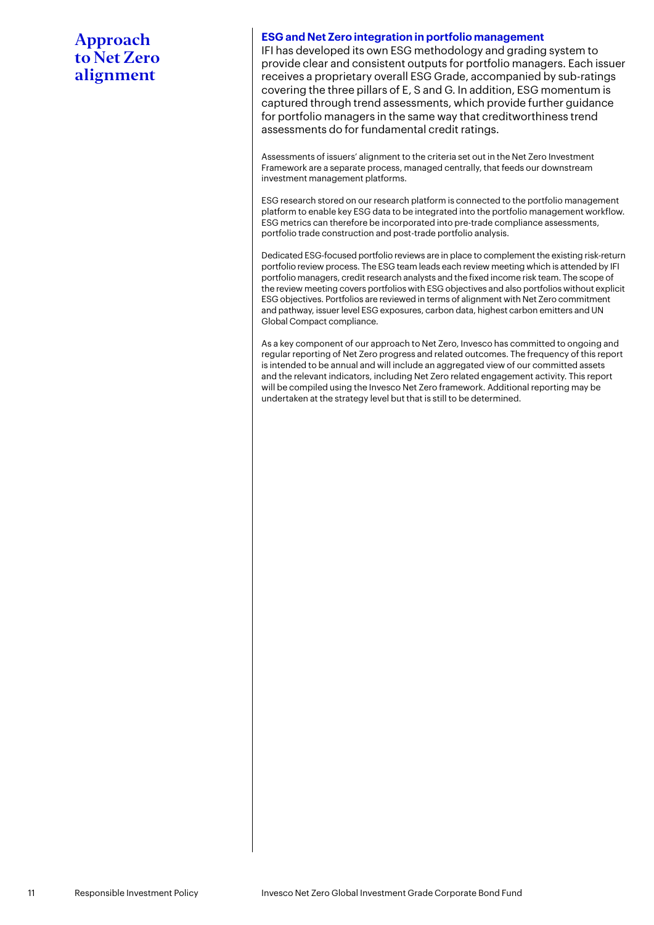#### **ESG and Net Zero integration in portfolio management**

IFI has developed its own ESG methodology and grading system to provide clear and consistent outputs for portfolio managers. Each issuer receives a proprietary overall ESG Grade, accompanied by sub-ratings covering the three pillars of E, S and G. In addition, ESG momentum is captured through trend assessments, which provide further guidance for portfolio managers in the same way that creditworthiness trend assessments do for fundamental credit ratings.

Assessments of issuers' alignment to the criteria set out in the Net Zero Investment Framework are a separate process, managed centrally, that feeds our downstream investment management platforms.

ESG research stored on our research platform is connected to the portfolio management platform to enable key ESG data to be integrated into the portfolio management workflow. ESG metrics can therefore be incorporated into pre-trade compliance assessments, portfolio trade construction and post-trade portfolio analysis.

Dedicated ESG-focused portfolio reviews are in place to complement the existing risk-return portfolio review process. The ESG team leads each review meeting which is attended by IFI portfolio managers, credit research analysts and the fixed income risk team. The scope of the review meeting covers portfolios with ESG objectives and also portfolios without explicit ESG objectives. Portfolios are reviewed in terms of alignment with Net Zero commitment and pathway, issuer level ESG exposures, carbon data, highest carbon emitters and UN Global Compact compliance.

As a key component of our approach to Net Zero, Invesco has committed to ongoing and regular reporting of Net Zero progress and related outcomes. The frequency of this report is intended to be annual and will include an aggregated view of our committed assets and the relevant indicators, including Net Zero related engagement activity. This report will be compiled using the Invesco Net Zero framework. Additional reporting may be undertaken at the strategy level but that is still to be determined.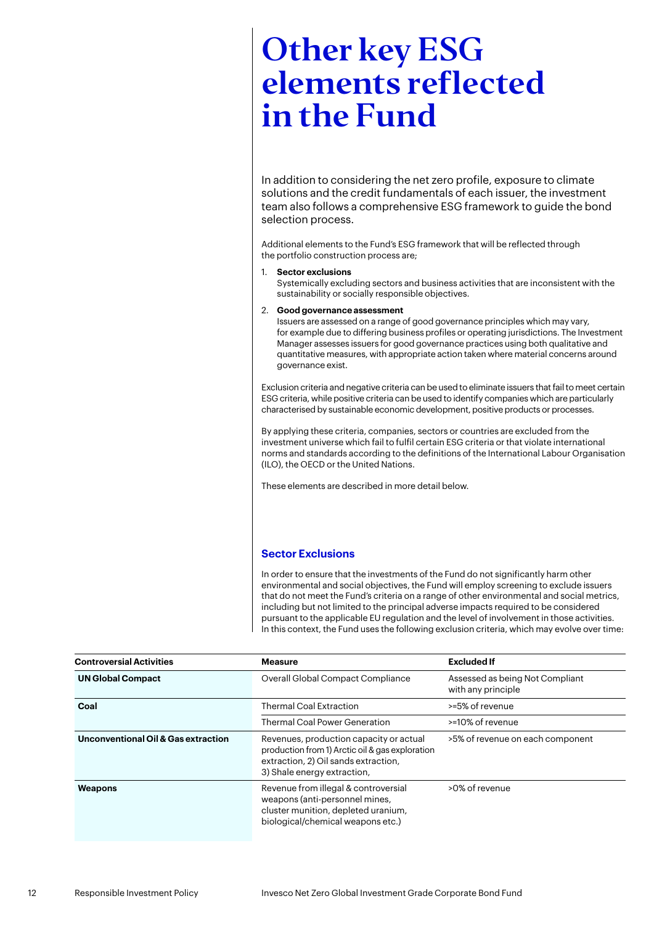## <span id="page-11-0"></span>Other key ESG elements reflected in the Fund

In addition to considering the net zero profile, exposure to climate solutions and the credit fundamentals of each issuer, the investment team also follows a comprehensive ESG framework to guide the bond selection process.

Additional elements to the Fund's ESG framework that will be reflected through the portfolio construction process are;

1. **Sector exclusions**

Systemically excluding sectors and business activities that are inconsistent with the sustainability or socially responsible objectives.

#### 2. **Good governance assessment**

Issuers are assessed on a range of good governance principles which may vary, for example due to differing business profiles or operating jurisdictions. The Investment Manager assesses issuers for good governance practices using both qualitative and quantitative measures, with appropriate action taken where material concerns around governance exist.

Exclusion criteria and negative criteria can be used to eliminate issuers that fail to meet certain ESG criteria, while positive criteria can be used to identify companies which are particularly characterised by sustainable economic development, positive products or processes.

By applying these criteria, companies, sectors or countries are excluded from the investment universe which fail to fulfil certain ESG criteria or that violate international norms and standards according to the definitions of the International Labour Organisation (ILO), the OECD or the United Nations.

These elements are described in more detail below.

#### **Sector Exclusions**

In order to ensure that the investments of the Fund do not significantly harm other environmental and social objectives, the Fund will employ screening to exclude issuers that do not meet the Fund's criteria on a range of other environmental and social metrics, including but not limited to the principal adverse impacts required to be considered pursuant to the applicable EU regulation and the level of involvement in those activities. In this context, the Fund uses the following exclusion criteria, which may evolve over time:

| <b>Controversial Activities</b>     | <b>Measure</b>                                                                                                                                                    | <b>Excluded If</b>                                    |
|-------------------------------------|-------------------------------------------------------------------------------------------------------------------------------------------------------------------|-------------------------------------------------------|
| <b>UN Global Compact</b>            | Overall Global Compact Compliance                                                                                                                                 | Assessed as being Not Compliant<br>with any principle |
| Coal                                | <b>Thermal Coal Extraction</b>                                                                                                                                    | >=5% of revenue                                       |
|                                     | <b>Thermal Coal Power Generation</b>                                                                                                                              | >=10% of revenue                                      |
| Unconventional Oil & Gas extraction | Revenues, production capacity or actual<br>production from 1) Arctic oil & gas exploration<br>extraction, 2) Oil sands extraction,<br>3) Shale energy extraction, | >5% of revenue on each component                      |
| Weapons                             | Revenue from illegal & controversial<br>weapons (anti-personnel mines,<br>cluster munition, depleted uranium,<br>biological/chemical weapons etc.)                | >0% of revenue                                        |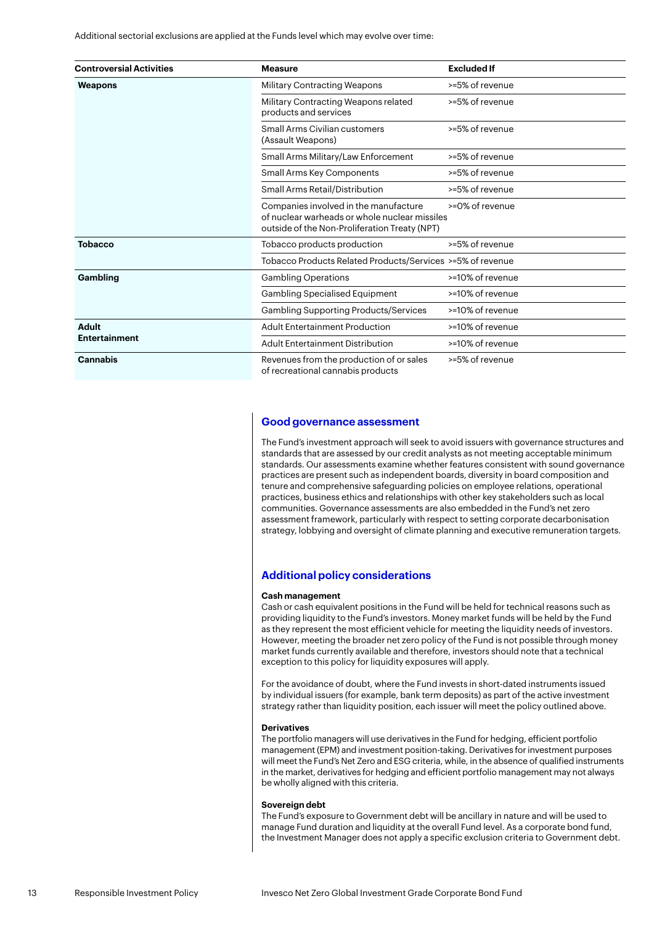Additional sectorial exclusions are applied at the Funds level which may evolve over time:

| <b>Controversial Activities</b> | <b>Measure</b>                                                                                                                          | <b>Excluded If</b> |
|---------------------------------|-----------------------------------------------------------------------------------------------------------------------------------------|--------------------|
| Weapons                         | <b>Military Contracting Weapons</b>                                                                                                     | >=5% of revenue    |
|                                 | Military Contracting Weapons related<br>products and services                                                                           | >=5% of revenue    |
|                                 | Small Arms Civilian customers<br>(Assault Weapons)                                                                                      | >=5% of revenue    |
|                                 | Small Arms Military/Law Enforcement                                                                                                     | >=5% of revenue    |
|                                 | Small Arms Key Components                                                                                                               | >=5% of revenue    |
|                                 | Small Arms Retail/Distribution                                                                                                          | >=5% of revenue    |
|                                 | Companies involved in the manufacture<br>of nuclear warheads or whole nuclear missiles<br>outside of the Non-Proliferation Treaty (NPT) | >=0% of revenue    |
| <b>Tobacco</b>                  | Tobacco products production                                                                                                             | >=5% of revenue    |
|                                 | Tobacco Products Related Products/Services >=5% of revenue                                                                              |                    |
| Gambling                        | <b>Gambling Operations</b>                                                                                                              | >=10% of revenue   |
|                                 | <b>Gambling Specialised Equipment</b>                                                                                                   | >=10% of revenue   |
|                                 | <b>Gambling Supporting Products/Services</b>                                                                                            | >=10% of revenue   |
| Adult                           | <b>Adult Entertainment Production</b>                                                                                                   | >=10% of revenue   |
| <b>Entertainment</b>            | <b>Adult Entertainment Distribution</b>                                                                                                 | >=10% of revenue   |
| <b>Cannabis</b>                 | Revenues from the production of or sales<br>of recreational cannabis products                                                           | >=5% of revenue    |

#### **Good governance assessment**

The Fund's investment approach will seek to avoid issuers with governance structures and standards that are assessed by our credit analysts as not meeting acceptable minimum standards. Our assessments examine whether features consistent with sound governance practices are present such as independent boards, diversity in board composition and tenure and comprehensive safeguarding policies on employee relations, operational practices, business ethics and relationships with other key stakeholders such as local communities. Governance assessments are also embedded in the Fund's net zero assessment framework, particularly with respect to setting corporate decarbonisation strategy, lobbying and oversight of climate planning and executive remuneration targets.

#### **Additional policy considerations**

#### **Cash management**

Cash or cash equivalent positions in the Fund will be held for technical reasons such as providing liquidity to the Fund's investors. Money market funds will be held by the Fund as they represent the most efficient vehicle for meeting the liquidity needs of investors. However, meeting the broader net zero policy of the Fund is not possible through money market funds currently available and therefore, investors should note that a technical exception to this policy for liquidity exposures will apply.

For the avoidance of doubt, where the Fund invests in short-dated instruments issued by individual issuers (for example, bank term deposits) as part of the active investment strategy rather than liquidity position, each issuer will meet the policy outlined above.

#### **Derivatives**

The portfolio managers will use derivatives in the Fund for hedging, efficient portfolio management (EPM) and investment position-taking. Derivatives for investment purposes will meet the Fund's Net Zero and ESG criteria, while, in the absence of qualified instruments in the market, derivatives for hedging and efficient portfolio management may not always be wholly aligned with this criteria.

#### **Sovereign debt**

The Fund's exposure to Government debt will be ancillary in nature and will be used to manage Fund duration and liquidity at the overall Fund level. As a corporate bond fund, the Investment Manager does not apply a specific exclusion criteria to Government debt.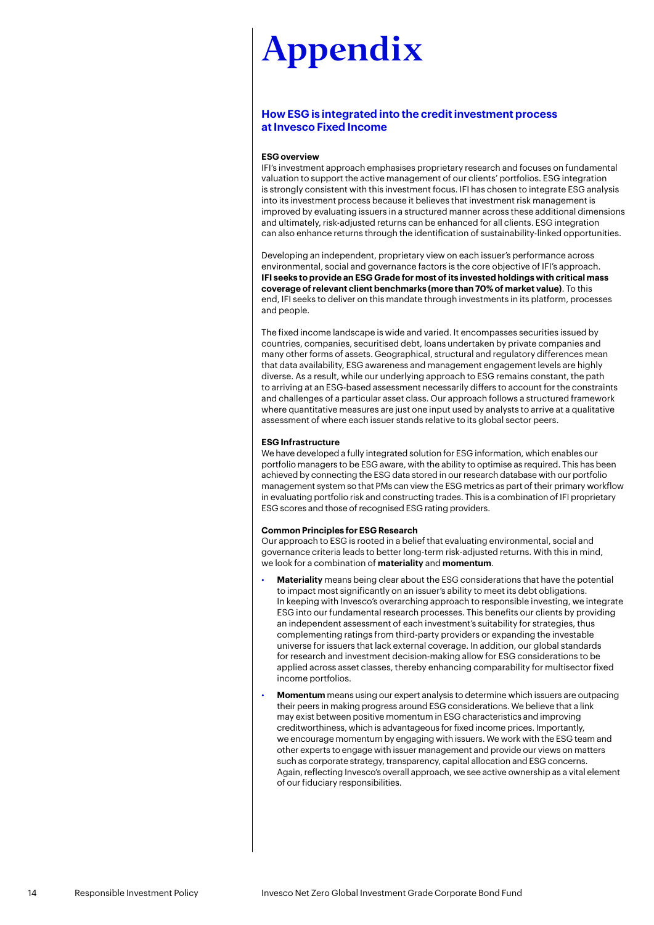#### <span id="page-13-0"></span>**How ESG is integrated into the credit investment process at Invesco Fixed Income**

#### **ESG overview**

IFI's investment approach emphasises proprietary research and focuses on fundamental valuation to support the active management of our clients' portfolios. ESG integration is strongly consistent with this investment focus. IFI has chosen to integrate ESG analysis into its investment process because it believes that investment risk management is improved by evaluating issuers in a structured manner across these additional dimensions and ultimately, risk-adjusted returns can be enhanced for all clients. ESG integration can also enhance returns through the identification of sustainability-linked opportunities.

Developing an independent, proprietary view on each issuer's performance across environmental, social and governance factors is the core objective of IFI's approach. **IFI seeks to provide an ESG Grade for most of its invested holdings with critical mass coverage of relevant client benchmarks (more than 70% of market value)**. To this end, IFI seeks to deliver on this mandate through investments in its platform, processes and people.

The fixed income landscape is wide and varied. It encompasses securities issued by countries, companies, securitised debt, loans undertaken by private companies and many other forms of assets. Geographical, structural and regulatory differences mean that data availability, ESG awareness and management engagement levels are highly diverse. As a result, while our underlying approach to ESG remains constant, the path to arriving at an ESG-based assessment necessarily differs to account for the constraints and challenges of a particular asset class. Our approach follows a structured framework where quantitative measures are just one input used by analysts to arrive at a qualitative assessment of where each issuer stands relative to its global sector peers.

#### **ESG Infrastructure**

We have developed a fully integrated solution for ESG information, which enables our portfolio managers to be ESG aware, with the ability to optimise as required. This has been achieved by connecting the ESG data stored in our research database with our portfolio management system so that PMs can view the ESG metrics as part of their primary workflow in evaluating portfolio risk and constructing trades. This is a combination of IFI proprietary ESG scores and those of recognised ESG rating providers.

#### **Common Principles for ESG Research**

Our approach to ESG is rooted in a belief that evaluating environmental, social and governance criteria leads to better long-term risk-adjusted returns. With this in mind, we look for a combination of **materiality** and **momentum**.

- **Materiality** means being clear about the ESG considerations that have the potential to impact most significantly on an issuer's ability to meet its debt obligations. In keeping with Invesco's overarching approach to responsible investing, we integrate ESG into our fundamental research processes. This benefits our clients by providing an independent assessment of each investment's suitability for strategies, thus complementing ratings from third-party providers or expanding the investable universe for issuers that lack external coverage. In addition, our global standards for research and investment decision-making allow for ESG considerations to be applied across asset classes, thereby enhancing comparability for multisector fixed income portfolios.
- **Momentum** means using our expert analysis to determine which issuers are outpacing their peers in making progress around ESG considerations. We believe that a link may exist between positive momentum in ESG characteristics and improving creditworthiness, which is advantageous for fixed income prices. Importantly, we encourage momentum by engaging with issuers. We work with the ESG team and other experts to engage with issuer management and provide our views on matters such as corporate strategy, transparency, capital allocation and ESG concerns. Again, reflecting Invesco's overall approach, we see active ownership as a vital element of our fiduciary responsibilities.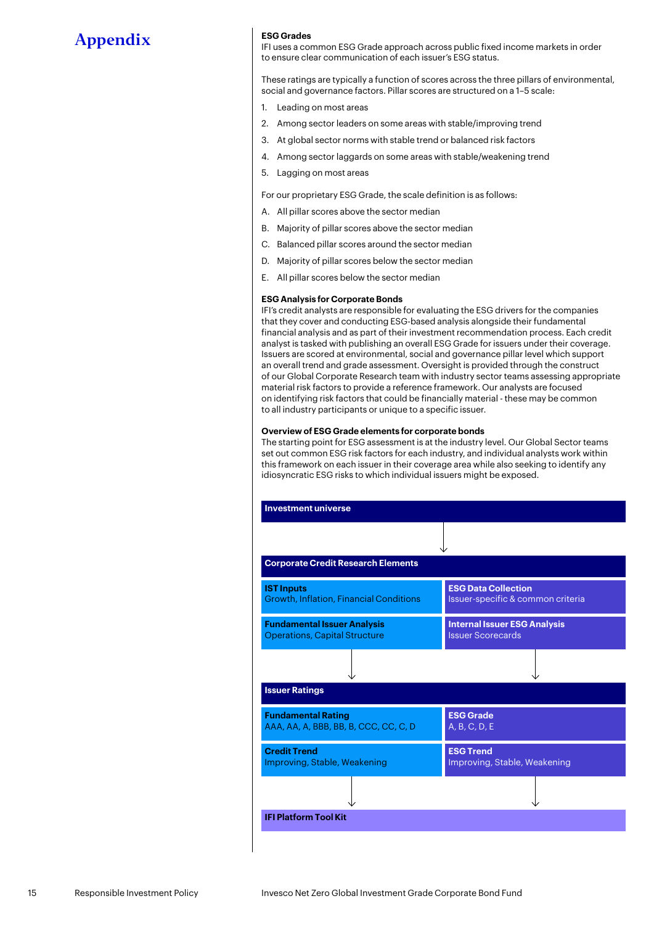#### **ESG Grades**

IFI uses a common ESG Grade approach across public fixed income markets in order to ensure clear communication of each issuer's ESG status.

These ratings are typically a function of scores across the three pillars of environmental, social and governance factors. Pillar scores are structured on a 1–5 scale:

- 1. Leading on most areas
- 2. Among sector leaders on some areas with stable/improving trend
- 3. At global sector norms with stable trend or balanced risk factors
- 4. Among sector laggards on some areas with stable/weakening trend
- 5. Lagging on most areas

For our proprietary ESG Grade, the scale definition is as follows:

- A. All pillar scores above the sector median
- B. Majority of pillar scores above the sector median
- C. Balanced pillar scores around the sector median
- D. Majority of pillar scores below the sector median
- E. All pillar scores below the sector median

#### **ESG Analysis for Corporate Bonds**

IFI's credit analysts are responsible for evaluating the ESG drivers for the companies that they cover and conducting ESG-based analysis alongside their fundamental financial analysis and as part of their investment recommendation process. Each credit analyst is tasked with publishing an overall ESG Grade for issuers under their coverage. Issuers are scored at environmental, social and governance pillar level which support an overall trend and grade assessment. Oversight is provided through the construct of our Global Corporate Research team with industry sector teams assessing appropriate material risk factors to provide a reference framework. Our analysts are focused on identifying risk factors that could be financially material - these may be common to all industry participants or unique to a specific issuer.

#### **Overview of ESG Grade elements for corporate bonds**

The starting point for ESG assessment is at the industry level. Our Global Sector teams set out common ESG risk factors for each industry, and individual analysts work within this framework on each issuer in their coverage area while also seeking to identify any idiosyncratic ESG risks to which individual issuers might be exposed.

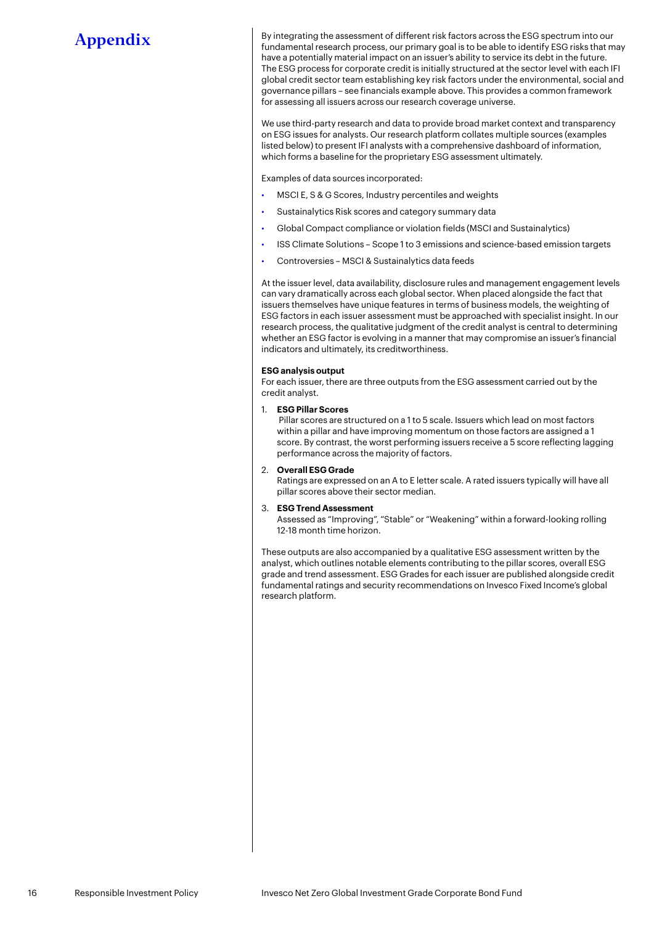By integrating the assessment of different risk factors across the ESG spectrum into our fundamental research process, our primary goal is to be able to identify ESG risks that may have a potentially material impact on an issuer's ability to service its debt in the future. The ESG process for corporate credit is initially structured at the sector level with each IFI global credit sector team establishing key risk factors under the environmental, social and governance pillars – see financials example above. This provides a common framework for assessing all issuers across our research coverage universe.

We use third-party research and data to provide broad market context and transparency on ESG issues for analysts. Our research platform collates multiple sources (examples listed below) to present IFI analysts with a comprehensive dashboard of information, which forms a baseline for the proprietary ESG assessment ultimately.

Examples of data sources incorporated:

- MSCI E, S & G Scores, Industry percentiles and weights
- Sustainalytics Risk scores and category summary data
- Global Compact compliance or violation fields (MSCI and Sustainalytics)
- ISS Climate Solutions Scope 1 to 3 emissions and science-based emission targets
- Controversies MSCI & Sustainalytics data feeds

At the issuer level, data availability, disclosure rules and management engagement levels can vary dramatically across each global sector. When placed alongside the fact that issuers themselves have unique features in terms of business models, the weighting of ESG factors in each issuer assessment must be approached with specialist insight. In our research process, the qualitative judgment of the credit analyst is central to determining whether an ESG factor is evolving in a manner that may compromise an issuer's financial indicators and ultimately, its creditworthiness.

#### **ESG analysis output**

For each issuer, there are three outputs from the ESG assessment carried out by the credit analyst.

1. **ESG Pillar Scores**

 Pillar scores are structured on a 1 to 5 scale. Issuers which lead on most factors within a pillar and have improving momentum on those factors are assigned a 1 score. By contrast, the worst performing issuers receive a 5 score reflecting lagging performance across the majority of factors.

#### 2. **Overall ESG Grade**

Ratings are expressed on an A to E letter scale. A rated issuers typically will have all pillar scores above their sector median.

#### 3. **ESG Trend Assessment**

Assessed as "Improving", "Stable" or "Weakening" within a forward-looking rolling 12-18 month time horizon.

These outputs are also accompanied by a qualitative ESG assessment written by the analyst, which outlines notable elements contributing to the pillar scores, overall ESG grade and trend assessment. ESG Grades for each issuer are published alongside credit fundamental ratings and security recommendations on Invesco Fixed Income's global research platform.